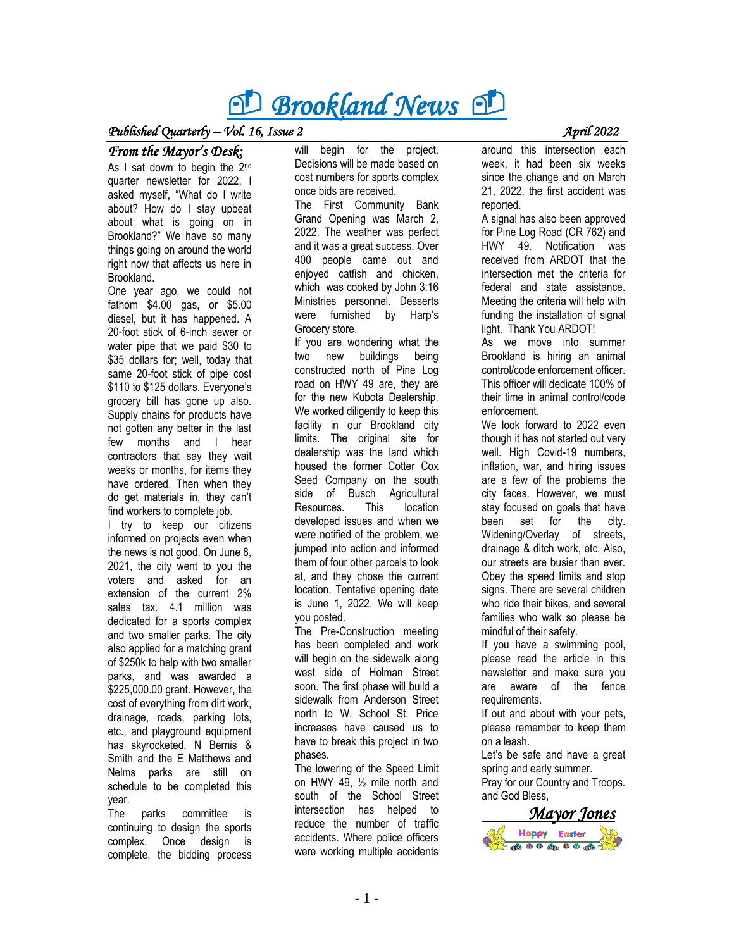# *Brookland News P*

#### *Published Quarterly – Vol.* 16, Issue 2 *April 2022*

#### *From the Mayor's Desk:*

As I sat down to begin the 2<sup>nd</sup> quarter newsletter for 2022, I asked myself, "What do I write about? How do I stay upbeat about what is going on in Brookland?" We have so many things going on around the world right now that affects us here in **Brookland** 

One year ago, we could not fathom \$4.00 gas, or \$5.00 diesel, but it has happened. A 20-foot stick of 6-inch sewer or water pipe that we paid \$30 to \$35 dollars for; well, today that same 20-foot stick of pipe cost \$110 to \$125 dollars. Everyone's grocery bill has gone up also. Supply chains for products have not gotten any better in the last few months and I hear contractors that say they wait weeks or months, for items they have ordered. Then when they do get materials in, they can't find workers to complete job.

I try to keep our citizens informed on projects even when the news is not good. On June 8, 2021, the city went to you the voters and asked for an extension of the current 2% sales tax. 4.1 million was dedicated for a sports complex and two smaller parks. The city also applied for a matching grant of \$250k to help with two smaller parks, and was awarded a \$225,000.00 grant. However, the cost of everything from dirt work, drainage, roads, parking lots, etc., and playground equipment has skyrocketed. N Bernis & Smith and the E Matthews and Nelms parks are still on schedule to be completed this year.

The parks committee is continuing to design the sports complex. Once design is complete, the bidding process

will begin for the project. Decisions will be made based on cost numbers for sports complex once bids are received.

The First Community Bank Grand Opening was March 2, 2022. The weather was perfect and it was a great success. Over 400 people came out and enjoyed catfish and chicken, which was cooked by John 3:16 Ministries personnel. Desserts were furnished by Harp's Grocery store.

If you are wondering what the two new buildings being constructed north of Pine Log road on HWY 49 are, they are for the new Kubota Dealership. We worked diligently to keep this facility in our Brookland city limits. The original site for dealership was the land which housed the former Cotter Cox Seed Company on the south side of Busch Agricultural Resources. This location developed issues and when we were notified of the problem, we jumped into action and informed them of four other parcels to look at, and they chose the current location. Tentative opening date is June 1, 2022. We will keep you posted.

The Pre-Construction meeting has been completed and work will begin on the sidewalk along west side of Holman Street soon. The first phase will build a sidewalk from Anderson Street north to W. School St. Price increases have caused us to have to break this project in two phases.

The lowering of the Speed Limit on HWY 49, ½ mile north and south of the School Street intersection has helped to reduce the number of traffic accidents. Where police officers were working multiple accidents around this intersection each week, it had been six weeks since the change and on March 21, 2022, the first accident was

reported. A signal has also been approved for Pine Log Road (CR 762) and HWY 49. Notification was received from ARDOT that the intersection met the criteria for federal and state assistance. Meeting the criteria will help with funding the installation of signal light. Thank You ARDOT!

As we move into summer Brookland is hiring an animal control/code enforcement officer. This officer will dedicate 100% of their time in animal control/code enforcement.

We look forward to 2022 even though it has not started out very well. High Covid-19 numbers, inflation, war, and hiring issues are a few of the problems the city faces. However, we must stay focused on goals that have been set for the city. Widening/Overlay of streets, drainage & ditch work, etc. Also, our streets are busier than ever. Obey the speed limits and stop signs. There are several children who ride their bikes, and several families who walk so please be mindful of their safety.

If you have a swimming pool, please read the article in this newsletter and make sure you are aware of the fence requirements.

If out and about with your pets, please remember to keep them on a leash.

Let's be safe and have a great spring and early summer. Pray for our Country and Troops. and God Bless,

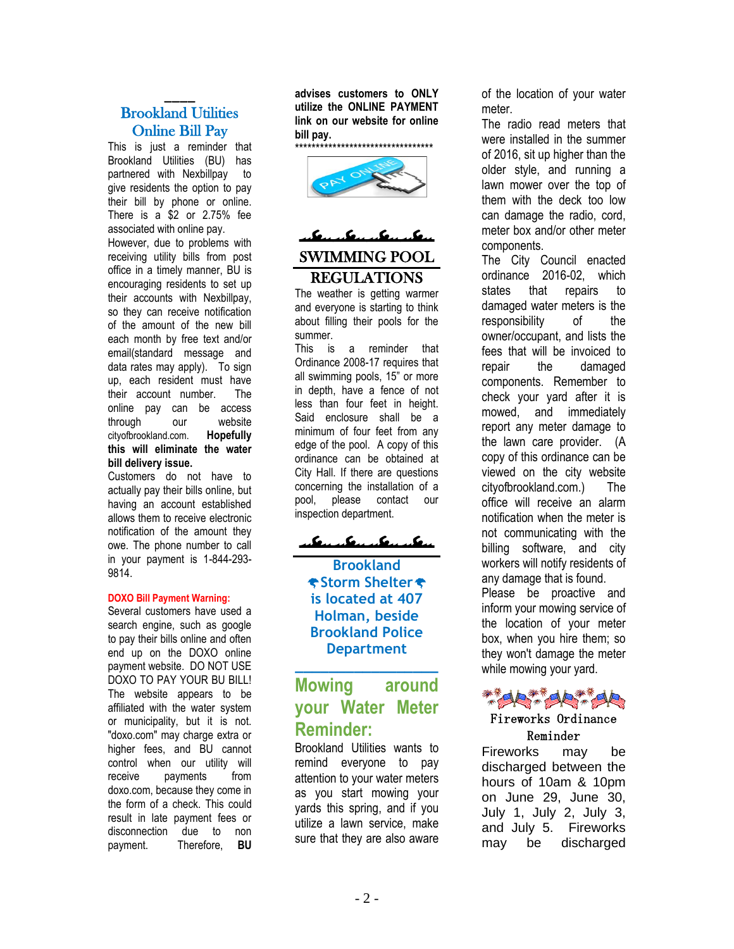#### \_\_\_\_ Brookland Utilities Online Bill Pay

This is just a reminder that Brookland Utilities (BU) has partnered with Nexbillpay to give residents the option to pay their bill by phone or online. There is a \$2 or 2.75% fee associated with online pay.

However, due to problems with receiving utility bills from post office in a timely manner, BU is encouraging residents to set up their accounts with Nexbillpay, so they can receive notification of the amount of the new bill each month by free text and/or email(standard message and data rates may apply). To sign up, each resident must have their account number. The online pay can be access through our website cityofbrookland.com. **Hopefully this will eliminate the water bill delivery issue.**

Customers do not have to actually pay their bills online, but having an account established allows them to receive electronic notification of the amount they owe. The phone number to call in your payment is 1-844-293- 9814.

#### **DOXO Bill Payment Warning:**

Several customers have used a search engine, such as google to pay their bills online and often end up on the DOXO online payment website. DO NOT USE DOXO TO PAY YOUR BU BILL! The website appears to be affiliated with the water system or municipality, but it is not. "doxo.com" may charge extra or higher fees, and BU cannot control when our utility will receive payments from doxo.com, because they come in the form of a check. This could result in late payment fees or disconnection due to non payment. Therefore, **BU** 

**advises customers to ONLY utilize the ONLINE PAYMENT link on our website for online bill pay.**

\*\*\*\*\*\*\*\*\*\*\*\*\*\*\*\*\*\*\*\*\*\*\*\*\*\*\*\*\*\*\*\*\*



### James Component SWIMMING POOL REGULATIONS

The weather is getting warmer and everyone is starting to think about filling their pools for the summer.

This is a reminder that Ordinance 2008-17 requires that all swimming pools, 15" or more in depth, have a fence of not less than four feet in height. Said enclosure shall be a minimum of four feet from any edge of the pool. A copy of this ordinance can be obtained at City Hall. If there are questions concerning the installation of a pool, please contact our inspection department.

<u>alemander alemander</u>

**Brookland Storm Shelter is located at 407 Holman, beside Brookland Police Department**

### **Mowing around your Water Meter Reminder:**

**\_\_\_\_\_\_\_\_\_\_\_\_\_\_\_\_\_**

Brookland Utilities wants to remind everyone to pay attention to your water meters as you start mowing your yards this spring, and if you utilize a lawn service, make sure that they are also aware of the location of your water meter.

The radio read meters that were installed in the summer of 2016, sit up higher than the older style, and running a lawn mower over the top of them with the deck too low can damage the radio, cord, meter box and/or other meter components.

The City Council enacted ordinance 2016-02, which states that repairs to damaged water meters is the responsibility of the owner/occupant, and lists the fees that will be invoiced to repair the damaged components. Remember to check your yard after it is mowed, and immediately report any meter damage to the lawn care provider. (A copy of this ordinance can be viewed on the city website cityofbrookland.com.) The office will receive an alarm notification when the meter is not communicating with the billing software, and city workers will notify residents of any damage that is found. Please be proactive and inform your mowing service of the location of your meter box, when you hire them; so they won't damage the meter while mowing your yard.



#### Fireworks Ordinance Reminder

Fireworks may be discharged between the hours of 10am & 10pm on June 29, June 30, July 1, July 2, July 3, and July 5. Fireworks may be discharged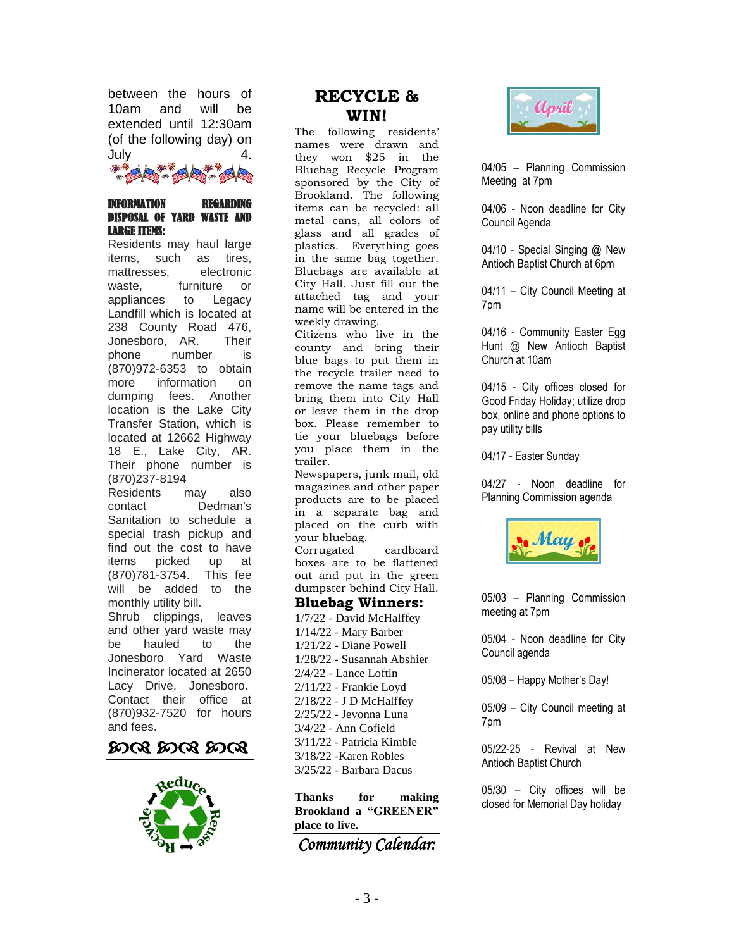between the hours of 10am and will be extended until 12:30am (of the following day) on July 4.

#### INFORMATION REGARDING DISPOSAL OF YARD WASTE AND LARGE ITEMS:

Residents may haul large items, such as tires, mattresses, electronic waste, furniture or appliances to Legacy Landfill which is located at 238 County Road 476, Jonesboro, AR. Their phone number is (870)972-6353 to obtain more information on dumping fees. Another location is the Lake City Transfer Station, which is located at 12662 Highway 18 E., Lake City, AR. Their phone number is (870)237-8194

Residents may also contact Dedman's Sanitation to schedule a special trash pickup and find out the cost to have<br>items picked up at picked up at (870)781-3754. This fee will be added to the monthly utility bill. Shrub clippings, leaves

and other yard waste may be hauled to the Jonesboro Yard Waste Incinerator located at 2650 Lacy Drive, Jonesboro. Contact their office at (870)932-7520 for hours and fees.





### **RECYCLE & WIN!**

The following residents' names were drawn and they won \$25 in the Bluebag Recycle Program sponsored by the City of Brookland. The following items can be recycled: all metal cans, all colors of glass and all grades of plastics. Everything goes in the same bag together. Bluebags are available at City Hall. Just fill out the attached tag and your name will be entered in the weekly drawing.

Citizens who live in the county and bring their blue bags to put them in the recycle trailer need to remove the name tags and bring them into City Hall or leave them in the drop box. Please remember to tie your bluebags before you place them in the trailer.

Newspapers, junk mail, old magazines and other paper products are to be placed in a separate bag and placed on the curb with your bluebag.

Corrugated cardboard boxes are to be flattened out and put in the green dumpster behind City Hall.

#### **Bluebag Winners:**

1/7/22 - David McHalffey 1/14/22 - Mary Barber 1/21/22 - Diane Powell 1/28/22 - Susannah Abshier 2/4/22 - Lance Loftin 2/11/22 - Frankie Loyd 2/18/22 - J D McHalffey 2/25/22 - Jevonna Luna 3/4/22 - Ann Cofield 3/11/22 - Patricia Kimble 3/18/22 -Karen Robles 3/25/22 - Barbara Dacus

**Thanks for making Brookland a "GREENER" place to live.**

*Community Calendar:* 



04/05 – Planning Commission Meeting at 7pm

04/06 - Noon deadline for City Council Agenda

04/10 - Special Singing @ New Antioch Baptist Church at 6pm

04/11 – City Council Meeting at 7pm

04/16 - Community Easter Egg Hunt @ New Antioch Baptist Church at 10am

04/15 - City offices closed for Good Friday Holiday; utilize drop box, online and phone options to pay utility bills

04/17 - Easter Sunday

04/27 - Noon deadline for Planning Commission agenda



05/03 – Planning Commission meeting at 7pm

05/04 - Noon deadline for City Council agenda

05/08 – Happy Mother's Day!

05/09 – City Council meeting at 7pm

05/22-25 - Revival at New Antioch Baptist Church

05/30 – City offices will be closed for Memorial Day holiday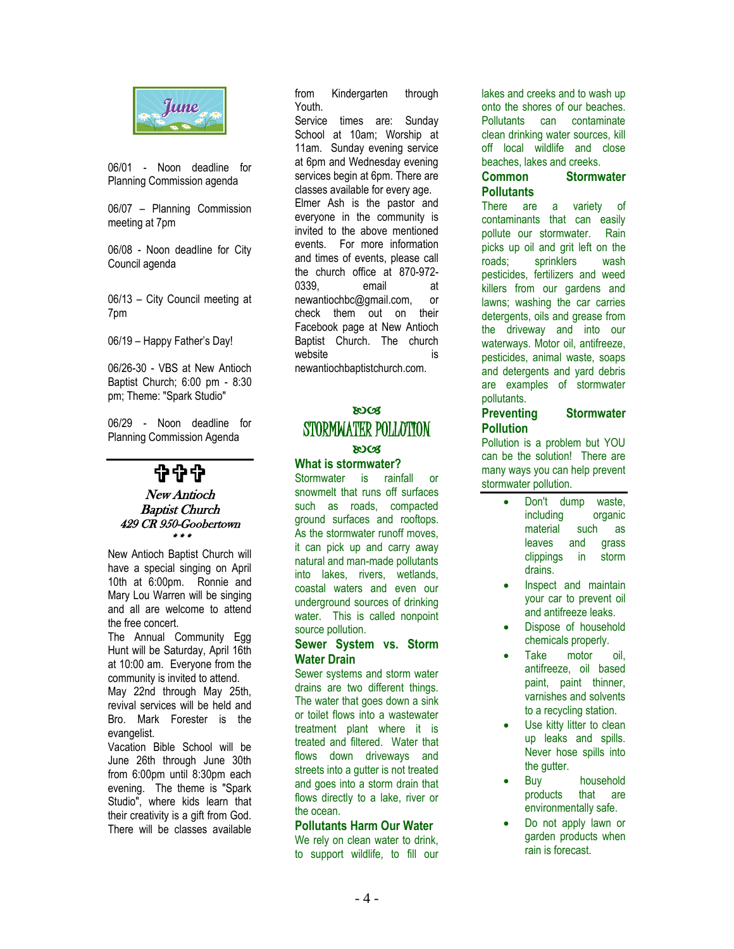

06/01 - Noon deadline for Planning Commission agenda

06/07 – Planning Commission meeting at 7pm

06/08 - Noon deadline for City Council agenda

06/13 – City Council meeting at 7pm

06/19 – Happy Father's Day!

06/26-30 - VBS at New Antioch Baptist Church; 6:00 pm - 8:30 pm; Theme: "Spark Studio"

06/29 - Noon deadline for Planning Commission Agenda

\$\$\$

#### New Antioch Baptist Church 429 CR 950-Goobertown \*\*\*

New Antioch Baptist Church will have a special singing on April 10th at 6:00pm. Ronnie and Mary Lou Warren will be singing and all are welcome to attend the free concert.

The Annual Community Egg Hunt will be Saturday, April 16th at 10:00 am. Everyone from the community is invited to attend.

May 22nd through May 25th, revival services will be held and Bro. Mark Forester is the evangelist.

Vacation Bible School will be June 26th through June 30th from 6:00pm until 8:30pm each evening. The theme is "Spark Studio", where kids learn that their creativity is a gift from God. There will be classes available

from Kindergarten through Youth.

Service times are: Sunday School at 10am; Worship at 11am. Sunday evening service at 6pm and Wednesday evening services begin at 6pm. There are classes available for every age. Elmer Ash is the pastor and everyone in the community is invited to the above mentioned events. For more information and times of events, please call the church office at 870-972- 0339, email at [newantiochbc@gmail.com,](mailto:newantiochbc@gmail.com) or check them out on their Facebook page at New Antioch Baptist Church. The church website is is newantiochbaptistchurch.com.

#### **ROCS** STORMWATER POLLOTION **ROCS**

#### **What is stormwater?**

Stormwater is rainfall or snowmelt that runs off surfaces such as roads, compacted ground surfaces and rooftops. As the stormwater runoff moves, it can pick up and carry away natural and man-made pollutants into lakes, rivers, wetlands, coastal waters and even our underground sources of drinking water. This is called nonpoint source pollution.

#### **Sewer System vs. Storm Water Drain**

Sewer systems and storm water drains are two different things. The water that goes down a sink or toilet flows into a wastewater treatment plant where it is treated and filtered. Water that flows down driveways and streets into a gutter is not treated and goes into a storm drain that flows directly to a lake, river or the ocean.

#### **Pollutants Harm Our Water**

We rely on clean water to drink, to support wildlife, to fill our lakes and creeks and to wash up onto the shores of our beaches. Pollutants can contaminate clean drinking water sources, kill off local wildlife and close beaches, lakes and creeks.

#### **Common Stormwater Pollutants**

There are a variety of contaminants that can easily pollute our stormwater. Rain picks up oil and grit left on the roads; sprinklers wash pesticides, fertilizers and weed killers from our gardens and lawns; washing the car carries detergents, oils and grease from the driveway and into our waterways. Motor oil, antifreeze, pesticides, animal waste, soaps and detergents and yard debris are examples of stormwater pollutants.

#### **Preventing Stormwater Pollution**

Pollution is a problem but YOU can be the solution! There are many ways you can help prevent stormwater pollution.

- Don't dump waste, including organic material such as leaves and grass clippings in storm drains.
- Inspect and maintain your car to prevent oil and antifreeze leaks.
- Dispose of household chemicals properly.
- Take motor oil. antifreeze, oil based paint, paint thinner, varnishes and solvents to a recycling station.
- Use kitty litter to clean up leaks and spills. Never hose spills into the gutter.
- Buy household products that are environmentally safe.
- Do not apply lawn or garden products when rain is forecast.